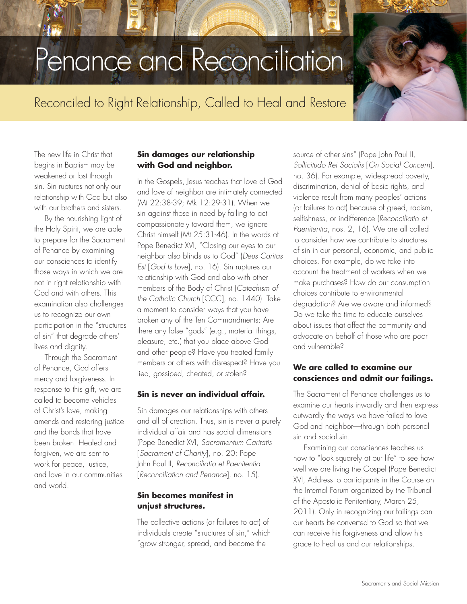# Penance and Reconciliation



## Reconciled to Right Relationship, Called to Heal and Restore

The new life in Christ that begins in Baptism may be weakened or lost through sin. Sin ruptures not only our relationship with God but also with our brothers and sisters.

By the nourishing light of the Holy Spirit, we are able to prepare for the Sacrament of Penance by examining our consciences to identify those ways in which we are not in right relationship with God and with others. This examination also challenges us to recognize our own participation in the "structures of sin" that degrade others' lives and dignity.

Through the Sacrament of Penance, God offers mercy and forgiveness. In response to this gift, we are called to become vehicles of Christ's love, making amends and restoring justice and the bonds that have been broken. Healed and forgiven, we are sent to work for peace, justice, and love in our communities and world.

#### **Sin damages our relationship with God and neighbor.**

In the Gospels, Jesus teaches that love of God and love of neighbor are intimately connected (Mt 22:38-39; Mk 12:29-31). When we sin against those in need by failing to act compassionately toward them, we ignore Christ himself (Mt 25:31-46). In the words of Pope Benedict XVI, "Closing our eyes to our neighbor also blinds us to God" (*Deus Caritas Est* [*God Is Love*], no. 16). Sin ruptures our relationship with God and also with other members of the Body of Christ (*Catechism of the Catholic Church* [CCC], no. 1440). Take a moment to consider ways that you have broken any of the Ten Commandments: Are there any false "gods" (e.g., material things, pleasure, etc.) that you place above God and other people? Have you treated family members or others with disrespect? Have you lied, gossiped, cheated, or stolen?

#### **Sin is never an individual affair.**

Sin damages our relationships with others and all of creation. Thus, sin is never a purely individual affair and has social dimensions (Pope Benedict XVI, *Sacramentum Caritatis* [*Sacrament of Charity*], no. 20; Pope John Paul II, *Reconciliatio et Paenitentia* [*Reconciliation and Penance*], no. 15).

#### **Sin becomes manifest in unjust structures.**

The collective actions (or failures to act) of individuals create "structures of sin," which "grow stronger, spread, and become the

source of other sins" (Pope John Paul II, *Sollicitudo Rei Socialis* [*On Social Concern*], no. 36). For example, widespread poverty, discrimination, denial of basic rights, and violence result from many peoples' actions (or failures to act) because of greed, racism, selfishness, or indifference (*Reconciliatio et Paenitentia*, nos. 2, 16). We are all called to consider how we contribute to structures of sin in our personal, economic, and public choices. For example, do we take into account the treatment of workers when we make purchases? How do our consumption choices contribute to environmental degradation? Are we aware and informed? Do we take the time to educate ourselves about issues that affect the community and advocate on behalf of those who are poor and vulnerable?

#### **We are called to examine our consciences and admit our failings.**

The Sacrament of Penance challenges us to examine our hearts inwardly and then express outwardly the ways we have failed to love God and neighbor—through both personal sin and social sin.

Examining our consciences teaches us how to "look squarely at our life" to see how well we are living the Gospel (Pope Benedict XVI, Address to participants in the Course on the Internal Forum organized by the Tribunal of the Apostolic Penitentiary, March 25, 2011). Only in recognizing our failings can our hearts be converted to God so that we can receive his forgiveness and allow his grace to heal us and our relationships.